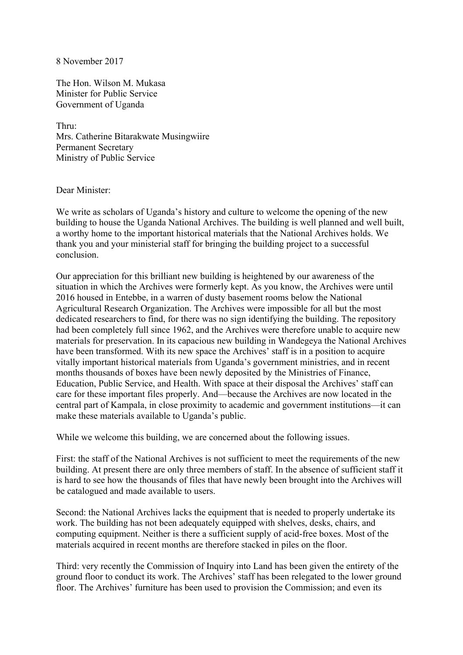8 November 2017

The Hon. Wilson M. Mukasa Minister for Public Service Government of Uganda

Thru: Mrs. Catherine Bitarakwate Musingwiire Permanent Secretary Ministry of Public Service

## Dear Minister:

We write as scholars of Uganda's history and culture to welcome the opening of the new building to house the Uganda National Archives. The building is well planned and well built, a worthy home to the important historical materials that the National Archives holds. We thank you and your ministerial staff for bringing the building project to a successful conclusion.

Our appreciation for this brilliant new building is heightened by our awareness of the situation in which the Archives were formerly kept. As you know, the Archives were until 2016 housed in Entebbe, in a warren of dusty basement rooms below the National Agricultural Research Organization. The Archives were impossible for all but the most dedicated researchers to find, for there was no sign identifying the building. The repository had been completely full since 1962, and the Archives were therefore unable to acquire new materials for preservation. In its capacious new building in Wandegeya the National Archives have been transformed. With its new space the Archives' staff is in a position to acquire vitally important historical materials from Uganda's government ministries, and in recent months thousands of boxes have been newly deposited by the Ministries of Finance, Education, Public Service, and Health. With space at their disposal the Archives' staff can care for these important files properly. And—because the Archives are now located in the central part of Kampala, in close proximity to academic and government institutions—it can make these materials available to Uganda's public.

While we welcome this building, we are concerned about the following issues.

First: the staff of the National Archives is not sufficient to meet the requirements of the new building. At present there are only three members of staff. In the absence of sufficient staff it is hard to see how the thousands of files that have newly been brought into the Archives will be catalogued and made available to users.

Second: the National Archives lacks the equipment that is needed to properly undertake its work. The building has not been adequately equipped with shelves, desks, chairs, and computing equipment. Neither is there a sufficient supply of acid-free boxes. Most of the materials acquired in recent months are therefore stacked in piles on the floor.

Third: very recently the Commission of Inquiry into Land has been given the entirety of the ground floor to conduct its work. The Archives' staff has been relegated to the lower ground floor. The Archives' furniture has been used to provision the Commission; and even its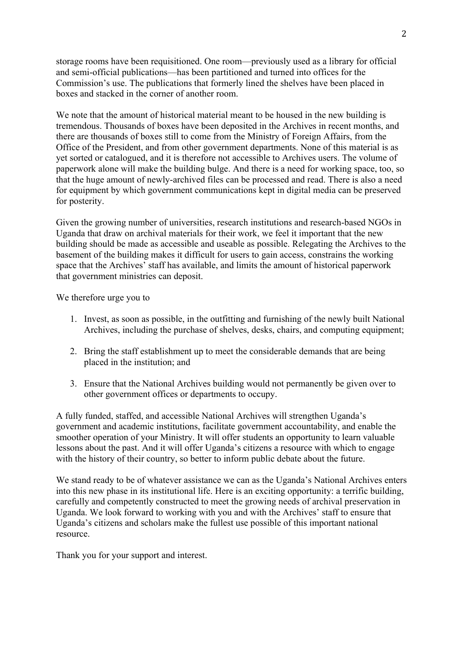storage rooms have been requisitioned. One room—previously used as a library for official and semi-official publications—has been partitioned and turned into offices for the Commission's use. The publications that formerly lined the shelves have been placed in boxes and stacked in the corner of another room.

We note that the amount of historical material meant to be housed in the new building is tremendous. Thousands of boxes have been deposited in the Archives in recent months, and there are thousands of boxes still to come from the Ministry of Foreign Affairs, from the Office of the President, and from other government departments. None of this material is as yet sorted or catalogued, and it is therefore not accessible to Archives users. The volume of paperwork alone will make the building bulge. And there is a need for working space, too, so that the huge amount of newly-archived files can be processed and read. There is also a need for equipment by which government communications kept in digital media can be preserved for posterity.

Given the growing number of universities, research institutions and research-based NGOs in Uganda that draw on archival materials for their work, we feel it important that the new building should be made as accessible and useable as possible. Relegating the Archives to the basement of the building makes it difficult for users to gain access, constrains the working space that the Archives' staff has available, and limits the amount of historical paperwork that government ministries can deposit.

We therefore urge you to

- 1. Invest, as soon as possible, in the outfitting and furnishing of the newly built National Archives, including the purchase of shelves, desks, chairs, and computing equipment;
- 2. Bring the staff establishment up to meet the considerable demands that are being placed in the institution; and
- 3. Ensure that the National Archives building would not permanently be given over to other government offices or departments to occupy.

A fully funded, staffed, and accessible National Archives will strengthen Uganda's government and academic institutions, facilitate government accountability, and enable the smoother operation of your Ministry. It will offer students an opportunity to learn valuable lessons about the past. And it will offer Uganda's citizens a resource with which to engage with the history of their country, so better to inform public debate about the future.

We stand ready to be of whatever assistance we can as the Uganda's National Archives enters into this new phase in its institutional life. Here is an exciting opportunity: a terrific building, carefully and competently constructed to meet the growing needs of archival preservation in Uganda. We look forward to working with you and with the Archives' staff to ensure that Uganda's citizens and scholars make the fullest use possible of this important national resource.

Thank you for your support and interest.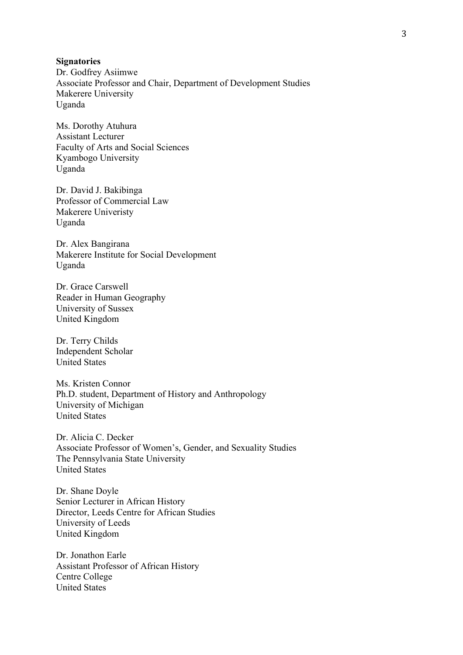## **Signatories**

Dr. Godfrey Asiimwe Associate Professor and Chair, Department of Development Studies Makerere University Uganda

Ms. Dorothy Atuhura Assistant Lecturer Faculty of Arts and Social Sciences Kyambogo University Uganda

Dr. David J. Bakibinga Professor of Commercial Law Makerere Univeristy Uganda

Dr. Alex Bangirana Makerere Institute for Social Development Uganda

Dr. Grace Carswell Reader in Human Geography University of Sussex United Kingdom

Dr. Terry Childs Independent Scholar United States

Ms. Kristen Connor Ph.D. student, Department of History and Anthropology University of Michigan United States

Dr. Alicia C. Decker Associate Professor of Women's, Gender, and Sexuality Studies The Pennsylvania State University United States

Dr. Shane Doyle Senior Lecturer in African History Director, Leeds Centre for African Studies University of Leeds United Kingdom

Dr. Jonathon Earle Assistant Professor of African History Centre College United States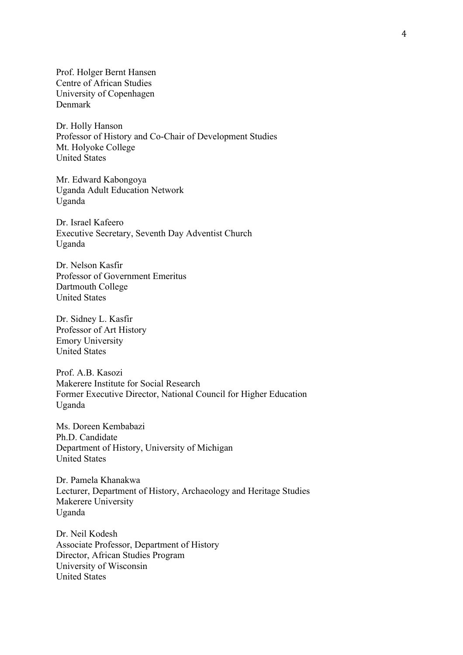Prof. Holger Bernt Hansen Centre of African Studies University of Copenhagen Denmark

Dr. Holly Hanson Professor of History and Co-Chair of Development Studies Mt. Holyoke College United States

Mr. Edward Kabongoya Uganda Adult Education Network Uganda

Dr. Israel Kafeero Executive Secretary, Seventh Day Adventist Church Uganda

Dr. Nelson Kasfir Professor of Government Emeritus Dartmouth College United States

Dr. Sidney L. Kasfir Professor of Art History Emory University United States

Prof. A.B. Kasozi Makerere Institute for Social Research Former Executive Director, National Council for Higher Education Uganda

Ms. Doreen Kembabazi Ph.D. Candidate Department of History, University of Michigan United States

Dr. Pamela Khanakwa Lecturer, Department of History, Archaeology and Heritage Studies Makerere University Uganda

Dr. Neil Kodesh Associate Professor, Department of History Director, African Studies Program University of Wisconsin United States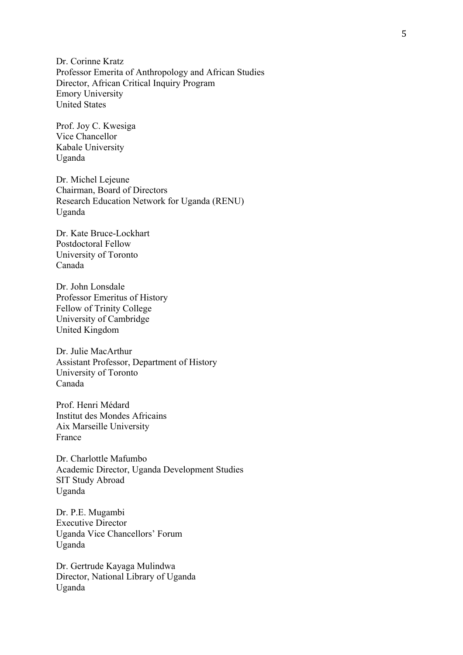Dr. Corinne Kratz Professor Emerita of Anthropology and African Studies Director, African Critical Inquiry Program Emory University United States

Prof. Joy C. Kwesiga Vice Chancellor Kabale University Uganda

Dr. Michel Lejeune Chairman, Board of Directors Research Education Network for Uganda (RENU) Uganda

Dr. Kate Bruce-Lockhart Postdoctoral Fellow University of Toronto Canada

Dr. John Lonsdale Professor Emeritus of History Fellow of Trinity College University of Cambridge United Kingdom

Dr. Julie MacArthur Assistant Professor, Department of History University of Toronto Canada

Prof. Henri Médard Institut des Mondes Africains Aix Marseille University France

Dr. Charlottle Mafumbo Academic Director, Uganda Development Studies SIT Study Abroad Uganda

Dr. P.E. Mugambi Executive Director Uganda Vice Chancellors' Forum Uganda

Dr. Gertrude Kayaga Mulindwa Director, National Library of Uganda Uganda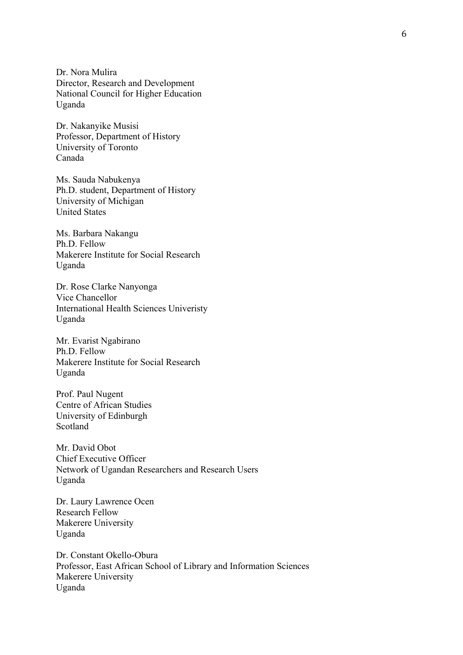Dr. Nora Mulira Director, Research and Development National Council for Higher Education Uganda

Dr. Nakanyike Musisi Professor, Department of History University of Toronto Canada

Ms. Sauda Nabukenya Ph.D. student, Department of History University of Michigan United States

Ms. Barbara Nakangu Ph.D. Fellow Makerere Institute for Social Research Uganda

Dr. Rose Clarke Nanyonga Vice Chancellor International Health Sciences Univeristy Uganda

Mr. Evarist Ngabirano Ph.D. Fellow Makerere Institute for Social Research Uganda

Prof. Paul Nugent Centre of African Studies University of Edinburgh Scotland

Mr. David Obot Chief Executive Officer Network of Ugandan Researchers and Research Users Uganda

Dr. Laury Lawrence Ocen Research Fellow Makerere University Uganda

Dr. Constant Okello-Obura Professor, East African School of Library and Information Sciences Makerere University Uganda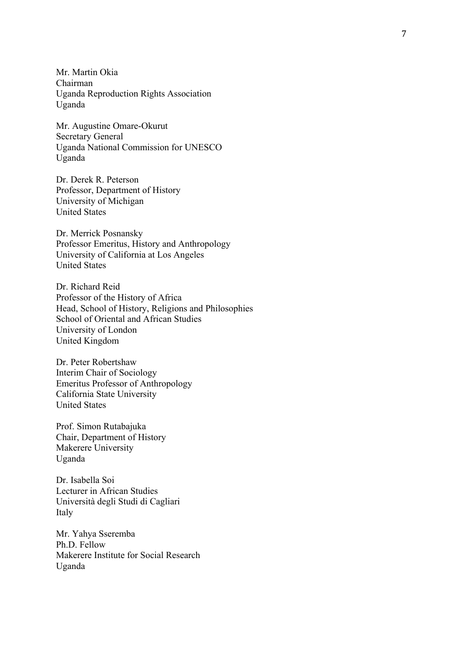Mr. Martin Okia Chairman Uganda Reproduction Rights Association Uganda

Mr. Augustine Omare -Okurut Secretary General Uganda National Commission for UNESCO Uganda

Dr. Derek R. Peterson Professor, Department of History University of Michigan United States

Dr. Merrick Posnansky Professor Emeritus, History and Anthropology University of California at Los Angeles United States

Dr. Richard Reid Professor of the History of Africa Head, School of History, Religions and Philosophies School of Oriental and African Studies University of London United Kingdom

Dr. Peter Robertshaw Interim Chair of Sociology Emeritus Professor of Anthropology California State University United States

Prof. Simon Rutabajuka Chair, Department of History Makerere University Uganda

Dr. Isabella Soi Lecturer in African Studies Università degli Studi di Cagliari Italy

Mr. Yahya Sseremba Ph.D. Fellow Makerere Institute for Social Research Uganda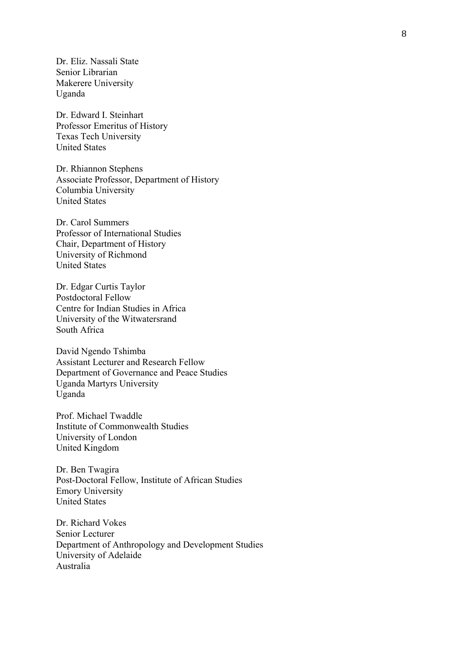Dr. Eliz. Nassali State Senior Librarian Makerere University Uganda

Dr. Edward I. Steinhart Professor Emeritus of History Texas Tech University United States

Dr. Rhiannon Stephens Associate Professor, Department of History Columbia University United States

Dr. Carol Summers Professor of International Studies Chair, Department of History University of Richmond United States

Dr. Edgar Curtis Taylor Postdoctoral Fellow Centre for Indian Studies in Africa University of the Witwatersrand South Africa

David Ngendo Tshimba Assistant Lecturer and Research Fellow Department of Governance and Peace Studies Uganda Martyrs University Uganda

Prof. Michael Twaddle Institute of Commonwealth Studies University of London United Kingdom

Dr. Ben Twagira Post-Doctoral Fellow, Institute of African Studies Emory University United States

Dr. Richard Vokes Senior Lecturer Department of Anthropology and Development Studies University of Adelaide Australia